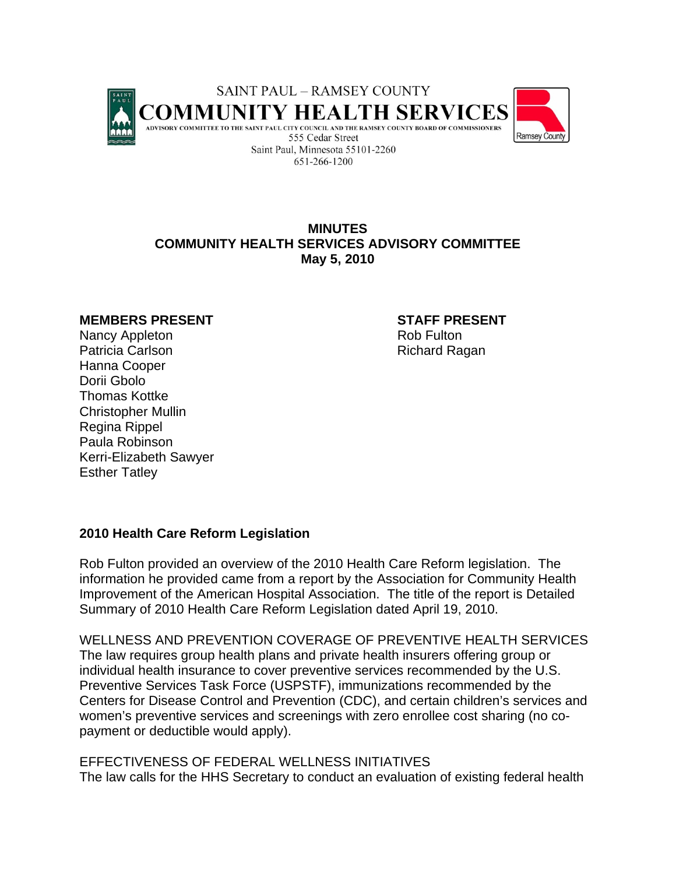

# **MINUTES COMMUNITY HEALTH SERVICES ADVISORY COMMITTEE May 5, 2010**

#### **MEMBERS PRESENT STAFF PRESENT**

Nancy Appleton **Rob Fulton** Rob Fulton Patricia Carlson **Richard Ragan** Hanna Cooper Dorii Gbolo Thomas Kottke Christopher Mullin Regina Rippel Paula Robinson Kerri-Elizabeth Sawyer Esther Tatley

## **2010 Health Care Reform Legislation**

Rob Fulton provided an overview of the 2010 Health Care Reform legislation. The information he provided came from a report by the Association for Community Health Improvement of the American Hospital Association. The title of the report is Detailed Summary of 2010 Health Care Reform Legislation dated April 19, 2010.

WELLNESS AND PREVENTION COVERAGE OF PREVENTIVE HEALTH SERVICES The law requires group health plans and private health insurers offering group or individual health insurance to cover preventive services recommended by the U.S. Preventive Services Task Force (USPSTF), immunizations recommended by the Centers for Disease Control and Prevention (CDC), and certain children's services and women's preventive services and screenings with zero enrollee cost sharing (no copayment or deductible would apply).

EFFECTIVENESS OF FEDERAL WELLNESS INITIATIVES The law calls for the HHS Secretary to conduct an evaluation of existing federal health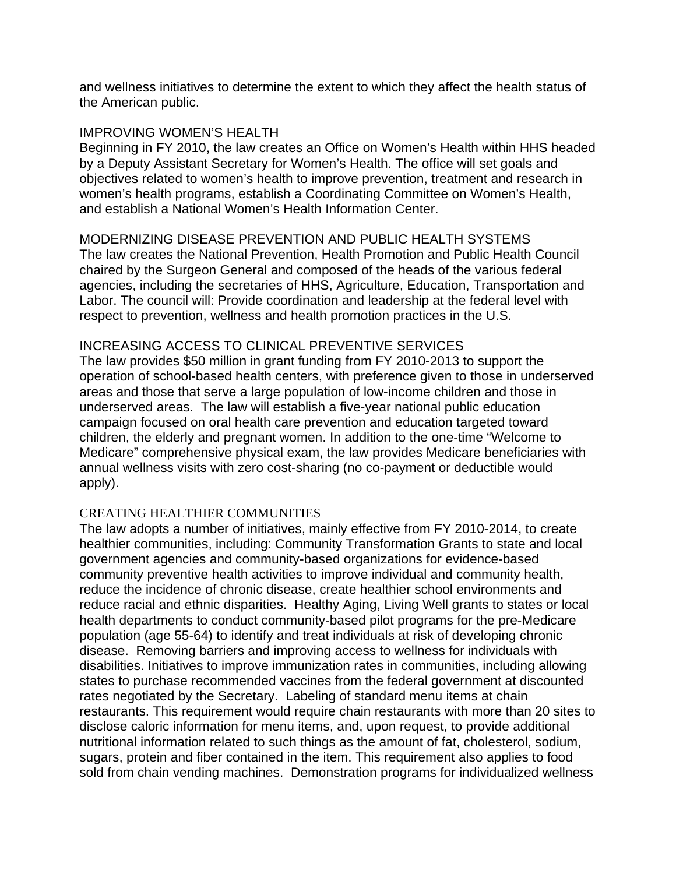and wellness initiatives to determine the extent to which they affect the health status of the American public.

### IMPROVING WOMEN'S HEALTH

Beginning in FY 2010, the law creates an Office on Women's Health within HHS headed by a Deputy Assistant Secretary for Women's Health. The office will set goals and objectives related to women's health to improve prevention, treatment and research in women's health programs, establish a Coordinating Committee on Women's Health, and establish a National Women's Health Information Center.

## MODERNIZING DISEASE PREVENTION AND PUBLIC HEALTH SYSTEMS

The law creates the National Prevention, Health Promotion and Public Health Council chaired by the Surgeon General and composed of the heads of the various federal agencies, including the secretaries of HHS, Agriculture, Education, Transportation and Labor. The council will: Provide coordination and leadership at the federal level with respect to prevention, wellness and health promotion practices in the U.S.

## INCREASING ACCESS TO CLINICAL PREVENTIVE SERVICES

The law provides \$50 million in grant funding from FY 2010-2013 to support the operation of school-based health centers, with preference given to those in underserved areas and those that serve a large population of low-income children and those in underserved areas. The law will establish a five-year national public education campaign focused on oral health care prevention and education targeted toward children, the elderly and pregnant women. In addition to the one-time "Welcome to Medicare" comprehensive physical exam, the law provides Medicare beneficiaries with annual wellness visits with zero cost-sharing (no co-payment or deductible would apply).

#### CREATING HEALTHIER COMMUNITIES

The law adopts a number of initiatives, mainly effective from FY 2010-2014, to create healthier communities, including: Community Transformation Grants to state and local government agencies and community-based organizations for evidence-based community preventive health activities to improve individual and community health, reduce the incidence of chronic disease, create healthier school environments and reduce racial and ethnic disparities. Healthy Aging, Living Well grants to states or local health departments to conduct community-based pilot programs for the pre-Medicare population (age 55-64) to identify and treat individuals at risk of developing chronic disease. Removing barriers and improving access to wellness for individuals with disabilities. Initiatives to improve immunization rates in communities, including allowing states to purchase recommended vaccines from the federal government at discounted rates negotiated by the Secretary. Labeling of standard menu items at chain restaurants. This requirement would require chain restaurants with more than 20 sites to disclose caloric information for menu items, and, upon request, to provide additional nutritional information related to such things as the amount of fat, cholesterol, sodium, sugars, protein and fiber contained in the item. This requirement also applies to food sold from chain vending machines. Demonstration programs for individualized wellness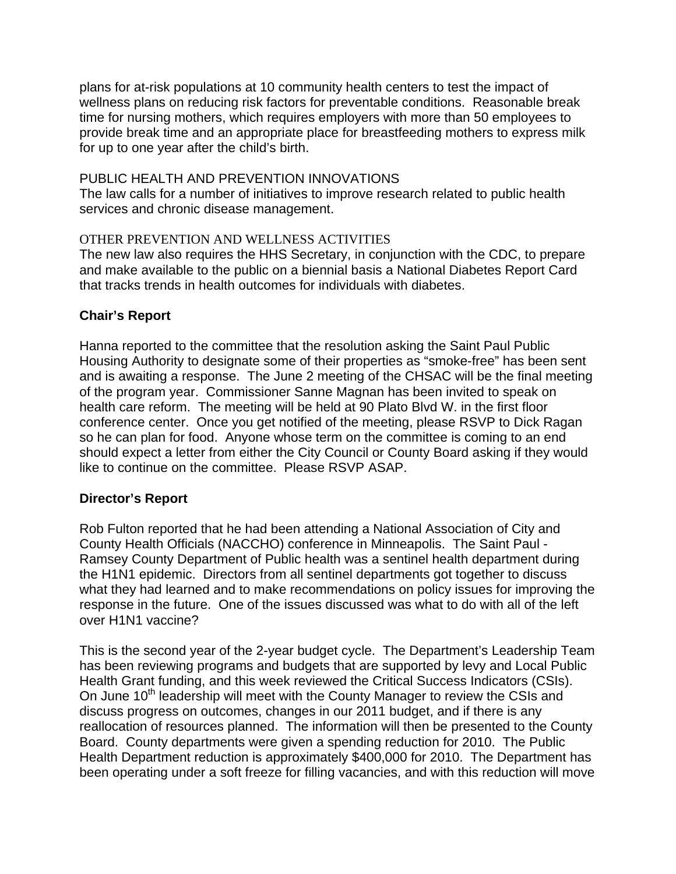plans for at-risk populations at 10 community health centers to test the impact of wellness plans on reducing risk factors for preventable conditions. Reasonable break time for nursing mothers, which requires employers with more than 50 employees to provide break time and an appropriate place for breastfeeding mothers to express milk for up to one year after the child's birth.

# PUBLIC HEALTH AND PREVENTION INNOVATIONS

The law calls for a number of initiatives to improve research related to public health services and chronic disease management.

# OTHER PREVENTION AND WELLNESS ACTIVITIES

The new law also requires the HHS Secretary, in conjunction with the CDC, to prepare and make available to the public on a biennial basis a National Diabetes Report Card that tracks trends in health outcomes for individuals with diabetes.

# **Chair's Report**

Hanna reported to the committee that the resolution asking the Saint Paul Public Housing Authority to designate some of their properties as "smoke-free" has been sent and is awaiting a response. The June 2 meeting of the CHSAC will be the final meeting of the program year. Commissioner Sanne Magnan has been invited to speak on health care reform. The meeting will be held at 90 Plato Blvd W. in the first floor conference center. Once you get notified of the meeting, please RSVP to Dick Ragan so he can plan for food. Anyone whose term on the committee is coming to an end should expect a letter from either the City Council or County Board asking if they would like to continue on the committee. Please RSVP ASAP.

## **Director's Report**

Rob Fulton reported that he had been attending a National Association of City and County Health Officials (NACCHO) conference in Minneapolis. The Saint Paul - Ramsey County Department of Public health was a sentinel health department during the H1N1 epidemic. Directors from all sentinel departments got together to discuss what they had learned and to make recommendations on policy issues for improving the response in the future. One of the issues discussed was what to do with all of the left over H1N1 vaccine?

This is the second year of the 2-year budget cycle. The Department's Leadership Team has been reviewing programs and budgets that are supported by levy and Local Public Health Grant funding, and this week reviewed the Critical Success Indicators (CSIs). On June 10<sup>th</sup> leadership will meet with the County Manager to review the CSIs and discuss progress on outcomes, changes in our 2011 budget, and if there is any reallocation of resources planned. The information will then be presented to the County Board. County departments were given a spending reduction for 2010. The Public Health Department reduction is approximately \$400,000 for 2010. The Department has been operating under a soft freeze for filling vacancies, and with this reduction will move